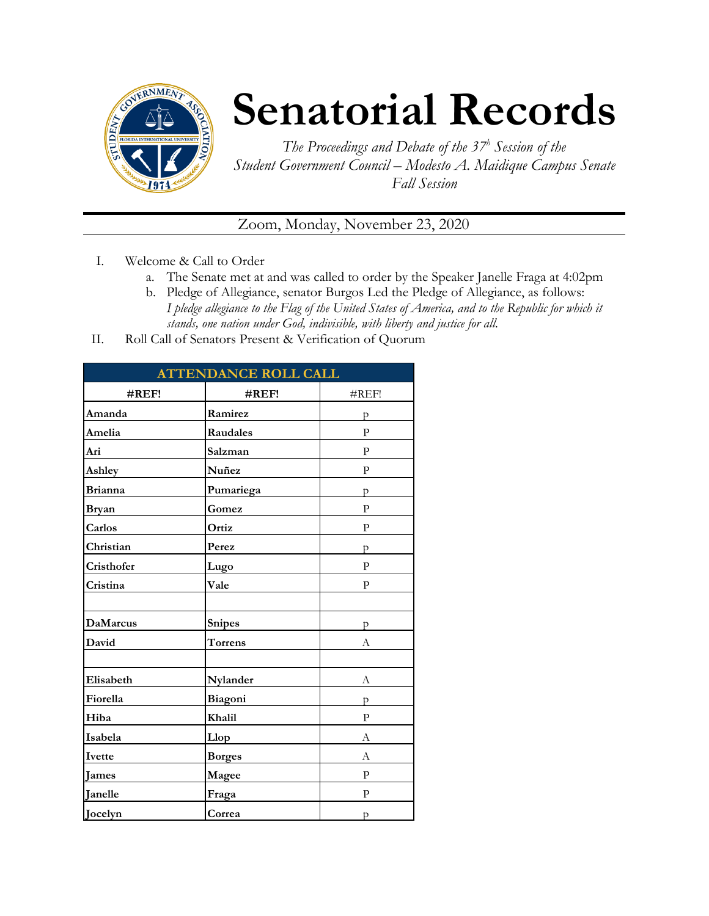

## **Senatorial Records**

*The Proceedings and Debate of the 37 <sup>h</sup> Session of the Student Government Council – Modesto A. Maidique Campus Senate Fall Session*

Zoom, Monday, November 23, 2020

- I. Welcome & Call to Order
	- a. The Senate met at and was called to order by the Speaker Janelle Fraga at 4:02pm
	- b. Pledge of Allegiance, senator Burgos Led the Pledge of Allegiance, as follows: *I pledge allegiance to the Flag of the United States of America, and to the Republic for which it stands, one nation under God, indivisible, with liberty and justice for all.*
- II. Roll Call of Senators Present & Verification of Quorum

| <b>ATTENDANCE ROLL CALL</b> |                |              |
|-----------------------------|----------------|--------------|
| $\#REF!$                    | #REF!          | #REF!        |
| Amanda                      | Ramirez        | р            |
| Amelia                      | Raudales       | $\mathbf{P}$ |
| Ari                         | Salzman        | P            |
| Ashley                      | Nuñez          | ${\bf p}$    |
| <b>Brianna</b>              | Pumariega      | p            |
| <b>Bryan</b>                | Gomez          | ${\bf P}$    |
| Carlos                      | Ortiz          | P            |
| Christian                   | Perez          | p            |
| Cristhofer                  | Lugo           | $\mathbf{P}$ |
| Cristina                    | Vale           | P            |
|                             |                |              |
| <b>DaMarcus</b>             | <b>Snipes</b>  | p            |
| David                       | <b>Torrens</b> | А            |
|                             |                |              |
| Elisabeth                   | Nylander       | А            |
| Fiorella                    | Biagoni        | p            |
| Hiba                        | Khalil         | $\mathbf{P}$ |
| Isabela                     | Llop           | А            |
| Ivette                      | <b>Borges</b>  | А            |
| <b>James</b>                | Magee          | P            |
| Janelle                     | Fraga          | $\mathbf{P}$ |
| Jocelyn                     | Correa         | p            |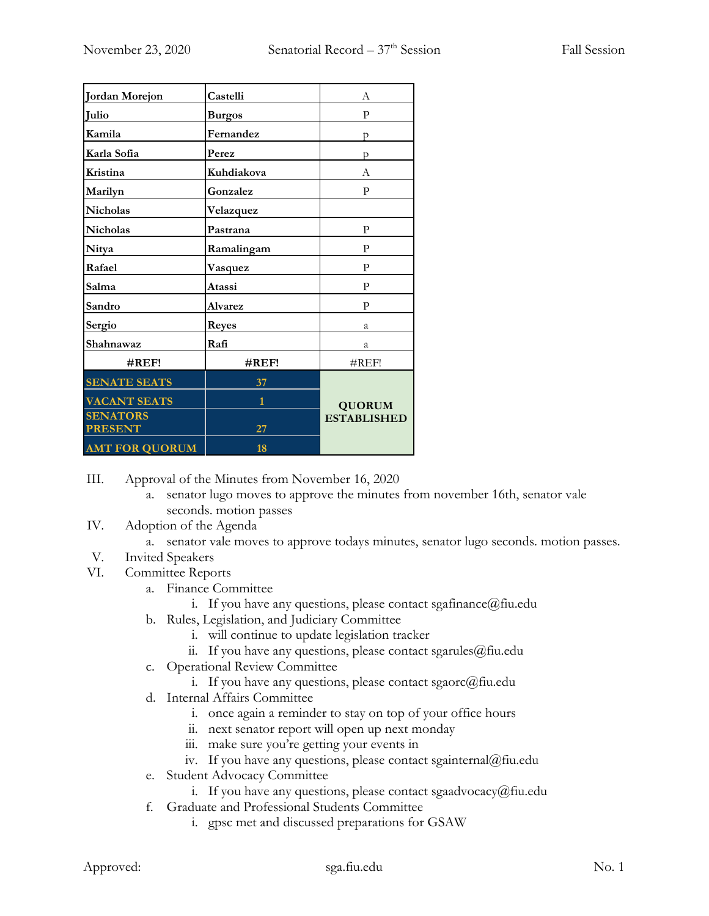| Jordan Morejon        | Castelli       | A                  |
|-----------------------|----------------|--------------------|
| <b>Julio</b>          | <b>Burgos</b>  | P                  |
| Kamila                | Fernandez      | р                  |
| Karla Sofia           | Perez          | p                  |
| Kristina              | Kuhdiakova     | А                  |
| Marilyn               | Gonzalez       | P                  |
| <b>Nicholas</b>       | Velazquez      |                    |
| <b>Nicholas</b>       | Pastrana       | P                  |
| Nitya                 | Ramalingam     | P                  |
| Rafael                | Vasquez        | P                  |
| Salma                 | Atassi         | P                  |
| Sandro                | <b>Alvarez</b> | $\mathbf{P}$       |
| Sergio                | <b>Reyes</b>   | a                  |
| Shahnawaz             | Rafi           | a                  |
| $\#REF!$              | $\#REF!$       | #REF!              |
| <b>SENATE SEATS</b>   | 37             |                    |
| <b>VACANT SEATS</b>   | $\overline{1}$ | <b>QUORUM</b>      |
| <b>SENATORS</b>       |                | <b>ESTABLISHED</b> |
| <b>PRESENT</b>        | 27             |                    |
| <b>AMT FOR QUORUM</b> | 18             |                    |

III. Approval of the Minutes from November 16, 2020

- a. senator lugo moves to approve the minutes from november 16th, senator vale seconds. motion passes
- IV. Adoption of the Agenda
	- a. senator vale moves to approve todays minutes, senator lugo seconds. motion passes.
- V. Invited Speakers
- VI. Committee Reports
	- a. Finance Committee
		- i. If you have any questions, please contact sgafinance@fiu.edu
	- b. Rules, Legislation, and Judiciary Committee
		- i. will continue to update legislation tracker
		- ii. If you have any questions, please contact sgarules@fiu.edu
	- c. Operational Review Committee
		- i. If you have any questions, please contact sgaorc $@$ fiu.edu
	- d. Internal Affairs Committee
		- i. once again a reminder to stay on top of your office hours
		- ii. next senator report will open up next monday
		- iii. make sure you're getting your events in
		- iv. If you have any questions, please contact sgainternal@fiu.edu
	- e. Student Advocacy Committee
		- i. If you have any questions, please contact sgaadvocacy $@$ fiu.edu
	- f. Graduate and Professional Students Committee
		- i. gpsc met and discussed preparations for GSAW